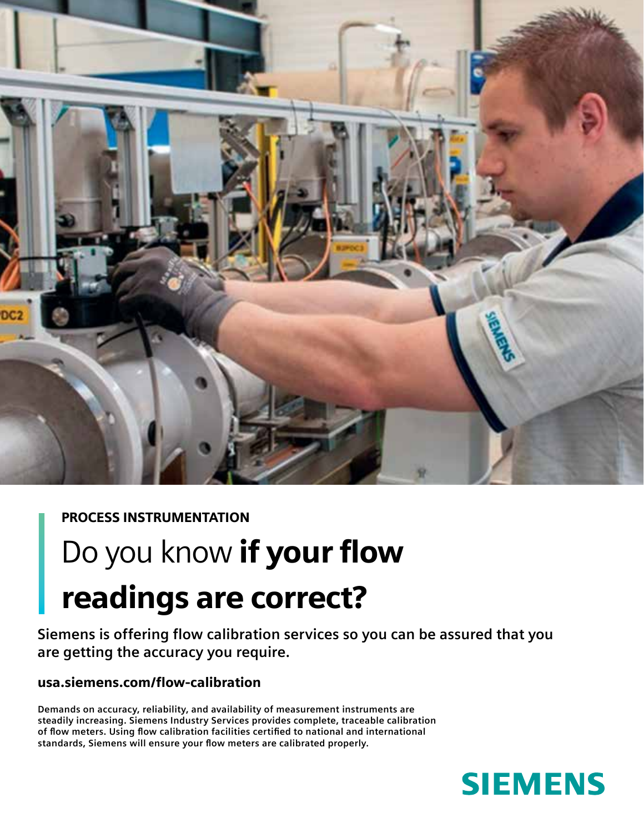

## PROCESS INSTRUMENTATION

## Do you know if your flow readings are correct?

**Siemens is offering flow calibration services so you can be assured that you are getting the accuracy you require.**

## usa.siemens.com/flow-calibration

**Demands on accuracy, reliability, and availability of measurement instruments are steadily increasing. Siemens Industry Services provides complete, traceable calibration of flow meters. Using flow calibration facilities certified to national and international standards, Siemens will ensure your flow meters are calibrated properly.**